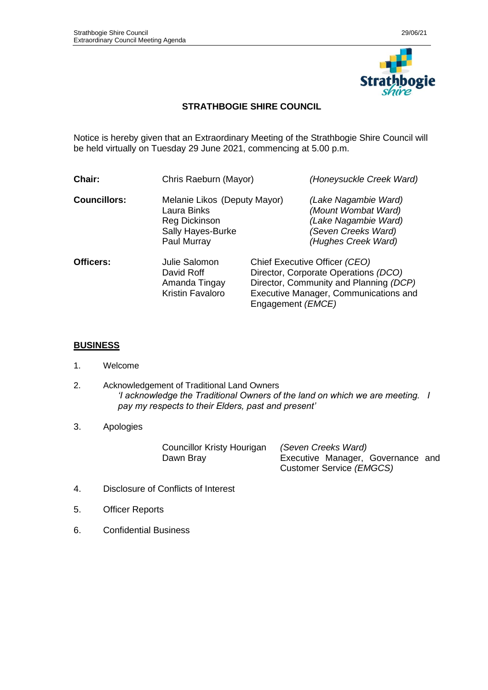

## **STRATHBOGIE SHIRE COUNCIL**

Notice is hereby given that an Extraordinary Meeting of the Strathbogie Shire Council will be held virtually on Tuesday 29 June 2021, commencing at 5.00 p.m.

| Chair:              | Chris Raeburn (Mayor)                                                                            |                                                                                                                                                                                        | (Honeysuckle Creek Ward)                                                                                          |  |
|---------------------|--------------------------------------------------------------------------------------------------|----------------------------------------------------------------------------------------------------------------------------------------------------------------------------------------|-------------------------------------------------------------------------------------------------------------------|--|
| <b>Councillors:</b> | Melanie Likos (Deputy Mayor)<br>Laura Binks<br>Reg Dickinson<br>Sally Hayes-Burke<br>Paul Murray |                                                                                                                                                                                        | (Lake Nagambie Ward)<br>(Mount Wombat Ward)<br>(Lake Nagambie Ward)<br>(Seven Creeks Ward)<br>(Hughes Creek Ward) |  |
| Officers:           | Julie Salomon<br>David Roff<br>Amanda Tingay<br>Kristin Favaloro                                 | Chief Executive Officer (CEO)<br>Director, Corporate Operations (DCO)<br>Director, Community and Planning (DCP)<br>Executive Manager, Communications and<br>Engagement ( <i>EMCE</i> ) |                                                                                                                   |  |

## **BUSINESS**

- 1. Welcome
- 2. Acknowledgement of Traditional Land Owners *'I acknowledge the Traditional Owners of the land on which we are meeting. I pay my respects to their Elders, past and present'*

## 3. Apologies

Councillor Kristy Hourigan *(Seven Creeks Ward)*

Dawn Bray **Executive Manager, Governance and** Customer Service *(EMGCS)*

- 4. Disclosure of Conflicts of Interest
- 5. Officer Reports
- 6. Confidential Business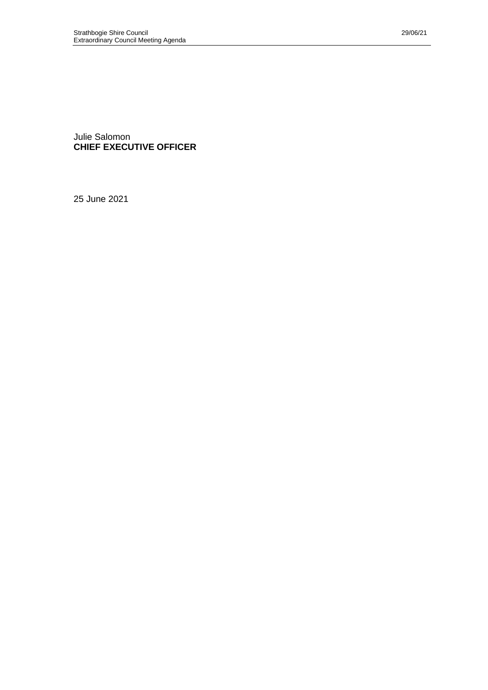Julie Salomon **CHIEF EXECUTIVE OFFICER**

25 June 2021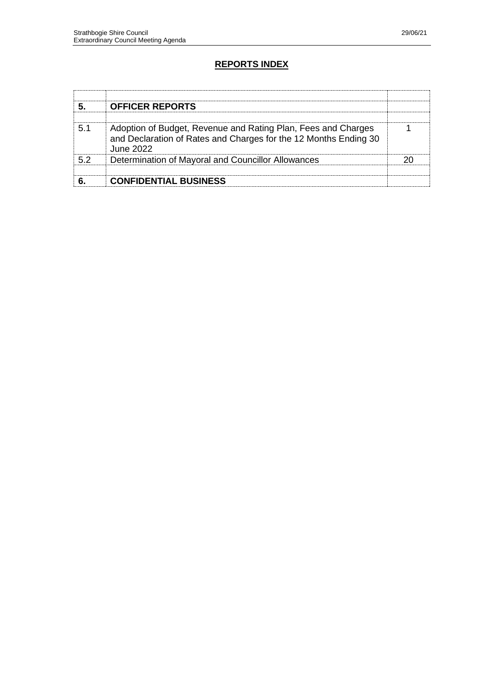## **REPORTS INDEX**

|    | <b>OFFICER REPORTS</b>                                                                                                                         |  |
|----|------------------------------------------------------------------------------------------------------------------------------------------------|--|
| 51 | Adoption of Budget, Revenue and Rating Plan, Fees and Charges<br>and Declaration of Rates and Charges for the 12 Months Ending 30<br>June 2022 |  |
| 52 | Determination of Mayoral and Councillor Allowances                                                                                             |  |
|    |                                                                                                                                                |  |
|    | <b>CONFIDENTIAL BUSINESS</b>                                                                                                                   |  |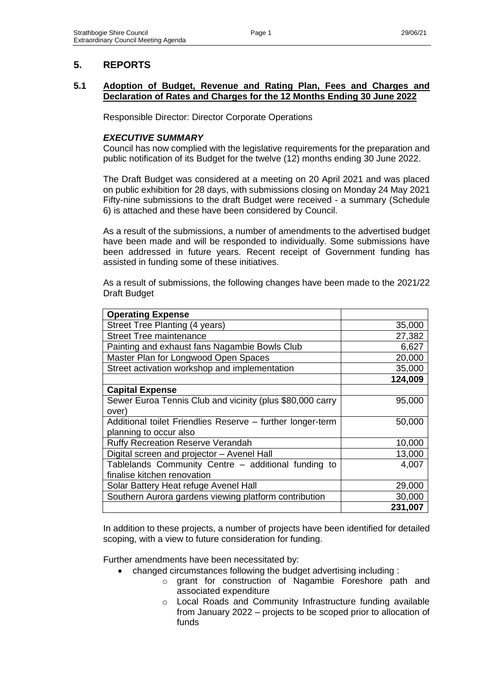# **5. REPORTS**

## **5.1 Adoption of Budget, Revenue and Rating Plan, Fees and Charges and Declaration of Rates and Charges for the 12 Months Ending 30 June 2022**

Responsible Director: Director Corporate Operations

## *EXECUTIVE SUMMARY*

Council has now complied with the legislative requirements for the preparation and public notification of its Budget for the twelve (12) months ending 30 June 2022.

The Draft Budget was considered at a meeting on 20 April 2021 and was placed on public exhibition for 28 days, with submissions closing on Monday 24 May 2021 Fifty-nine submissions to the draft Budget were received - a summary (Schedule 6) is attached and these have been considered by Council.

As a result of the submissions, a number of amendments to the advertised budget have been made and will be responded to individually. Some submissions have been addressed in future years. Recent receipt of Government funding has assisted in funding some of these initiatives.

As a result of submissions, the following changes have been made to the 2021/22 Draft Budget

| <b>Operating Expense</b>                                   |         |
|------------------------------------------------------------|---------|
| Street Tree Planting (4 years)                             | 35,000  |
| <b>Street Tree maintenance</b>                             | 27,382  |
| Painting and exhaust fans Nagambie Bowls Club              | 6,627   |
| Master Plan for Longwood Open Spaces                       | 20,000  |
| Street activation workshop and implementation              | 35,000  |
|                                                            | 124,009 |
| <b>Capital Expense</b>                                     |         |
| Sewer Euroa Tennis Club and vicinity (plus \$80,000 carry  | 95,000  |
| over)                                                      |         |
| Additional toilet Friendlies Reserve - further longer-term | 50,000  |
| planning to occur also                                     |         |
| <b>Ruffy Recreation Reserve Verandah</b>                   | 10,000  |
| Digital screen and projector - Avenel Hall                 | 13,000  |
| Tablelands Community Centre - additional funding to        | 4,007   |
| finalise kitchen renovation                                |         |
| Solar Battery Heat refuge Avenel Hall                      | 29,000  |
| Southern Aurora gardens viewing platform contribution      | 30,000  |
|                                                            | 231,007 |

In addition to these projects, a number of projects have been identified for detailed scoping, with a view to future consideration for funding.

Further amendments have been necessitated by:

- changed circumstances following the budget advertising including :
	- o grant for construction of Nagambie Foreshore path and associated expenditure
	- o Local Roads and Community Infrastructure funding available from January 2022 – projects to be scoped prior to allocation of funds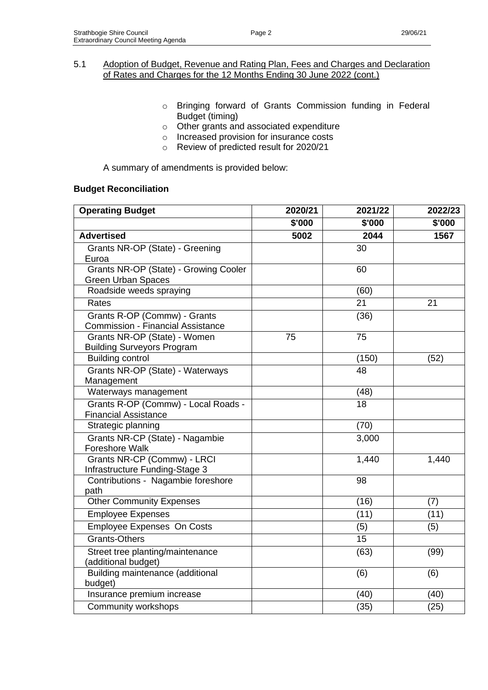- o Bringing forward of Grants Commission funding in Federal Budget (timing)
- o Other grants and associated expenditure
- o Increased provision for insurance costs
- o Review of predicted result for 2020/21

A summary of amendments is provided below:

## **Budget Reconciliation**

| <b>Operating Budget</b>                                                  | 2020/21 | 2021/22 | 2022/23 |  |
|--------------------------------------------------------------------------|---------|---------|---------|--|
|                                                                          | \$'000  | \$'000  | \$'000  |  |
| <b>Advertised</b>                                                        | 5002    | 2044    | 1567    |  |
| Grants NR-OP (State) - Greening<br>Euroa                                 |         | 30      |         |  |
| Grants NR-OP (State) - Growing Cooler<br><b>Green Urban Spaces</b>       |         | 60      |         |  |
| Roadside weeds spraying                                                  |         | (60)    |         |  |
| Rates                                                                    |         | 21      | 21      |  |
| Grants R-OP (Commw) - Grants<br><b>Commission - Financial Assistance</b> |         | (36)    |         |  |
| Grants NR-OP (State) - Women<br><b>Building Surveyors Program</b>        | 75      | 75      |         |  |
| <b>Building control</b>                                                  |         | (150)   | (52)    |  |
| Grants NR-OP (State) - Waterways<br>Management                           |         | 48      |         |  |
| Waterways management                                                     |         | (48)    |         |  |
| Grants R-OP (Commw) - Local Roads -<br><b>Financial Assistance</b>       |         | 18      |         |  |
| Strategic planning                                                       |         | (70)    |         |  |
| Grants NR-CP (State) - Nagambie<br>Foreshore Walk                        |         | 3,000   |         |  |
| Grants NR-CP (Commw) - LRCI<br>Infrastructure Funding-Stage 3            |         | 1,440   | 1,440   |  |
| Contributions - Nagambie foreshore<br>path                               |         | 98      |         |  |
| <b>Other Community Expenses</b>                                          |         | (16)    | (7)     |  |
| <b>Employee Expenses</b>                                                 |         | (11)    | (11)    |  |
| Employee Expenses On Costs                                               |         | (5)     | (5)     |  |
| <b>Grants-Others</b>                                                     |         | 15      |         |  |
| Street tree planting/maintenance<br>(additional budget)                  |         | (63)    | (99)    |  |
| Building maintenance (additional<br>budget)                              |         | (6)     | (6)     |  |
| Insurance premium increase                                               |         | (40)    | (40)    |  |
| Community workshops                                                      |         | (35)    | (25)    |  |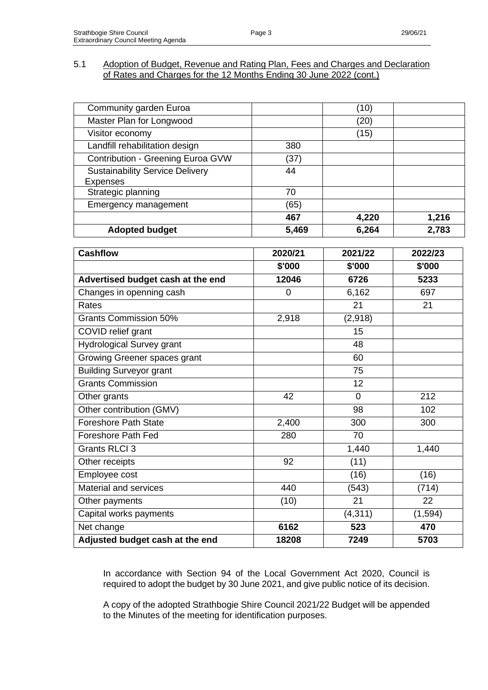| Community garden Euroa                 |                | (10)     |          |
|----------------------------------------|----------------|----------|----------|
| Master Plan for Longwood               |                | (20)     |          |
| Visitor economy                        |                | (15)     |          |
| Landfill rehabilitation design         | 380            |          |          |
| Contribution - Greening Euroa GVW      | (37)           |          |          |
| <b>Sustainability Service Delivery</b> | 44             |          |          |
| <b>Expenses</b>                        |                |          |          |
| Strategic planning                     | 70             |          |          |
| <b>Emergency management</b>            | (65)           |          |          |
|                                        | 467            | 4,220    | 1,216    |
| <b>Adopted budget</b>                  | 5,469          | 6,264    | 2,783    |
| <b>Cashflow</b>                        | 2020/21        | 2021/22  | 2022/23  |
|                                        | \$'000         | \$'000   | \$'000   |
| Advertised budget cash at the end      | 12046          | 6726     | 5233     |
| Changes in openning cash               | $\overline{0}$ |          | 697      |
|                                        |                | 6,162    |          |
| Rates                                  |                | 21       | 21       |
| <b>Grants Commission 50%</b>           | 2,918          | (2,918)  |          |
| COVID relief grant                     |                | 15       |          |
| <b>Hydrological Survey grant</b>       |                | 48       |          |
| Growing Greener spaces grant           |                | 60       |          |
| <b>Building Surveyor grant</b>         |                | 75       |          |
| <b>Grants Commission</b>               |                | 12       |          |
| Other grants                           | 42             | $\Omega$ | 212      |
| Other contribution (GMV)               |                | 98       | 102      |
| <b>Foreshore Path State</b>            | 2,400          | 300      | 300      |
| <b>Foreshore Path Fed</b>              | 280            | 70       |          |
| <b>Grants RLCI 3</b>                   |                | 1,440    | 1,440    |
| Other receipts                         | 92             | (11)     |          |
| Employee cost                          |                | (16)     | (16)     |
| Material and services                  | 440            | (543)    | (714)    |
| Other payments                         | (10)           | 21       | 22       |
| Capital works payments                 |                | (4, 311) | (1, 594) |
| Net change                             | 6162           | 523      | 470      |
| Adjusted budget cash at the end        | 18208          | 7249     | 5703     |

In accordance with Section 94 of the Local Government Act 2020, Council is required to adopt the budget by 30 June 2021, and give public notice of its decision.

A copy of the adopted Strathbogie Shire Council 2021/22 Budget will be appended to the Minutes of the meeting for identification purposes.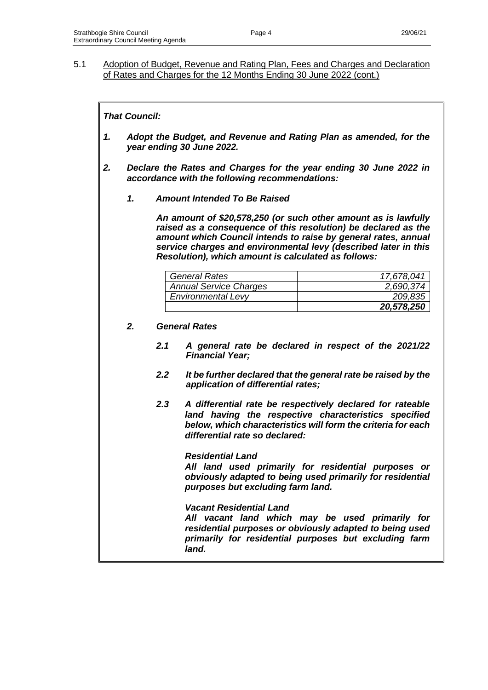## *That Council:*

- *1. Adopt the Budget, and Revenue and Rating Plan as amended, for the year ending 30 June 2022.*
- *2. Declare the Rates and Charges for the year ending 30 June 2022 in accordance with the following recommendations:*
	- *1. Amount Intended To Be Raised*

*An amount of \$20,578,250 (or such other amount as is lawfully raised as a consequence of this resolution) be declared as the amount which Council intends to raise by general rates, annual service charges and environmental levy (described later in this Resolution), which amount is calculated as follows:*

| <b>General Rates</b>          | 17,678,041 |
|-------------------------------|------------|
| <b>Annual Service Charges</b> | 2,690,374  |
| <b>Environmental Levy</b>     | 209,835    |
|                               | 20,578,250 |

#### *2. General Rates*

- *2.1 A general rate be declared in respect of the 2021/22 Financial Year;*
- *2.2 It be further declared that the general rate be raised by the application of differential rates;*
- *2.3 A differential rate be respectively declared for rateable land having the respective characteristics specified below, which characteristics will form the criteria for each differential rate so declared:*

## *Residential Land*

*All land used primarily for residential purposes or obviously adapted to being used primarily for residential purposes but excluding farm land.*

*Vacant Residential Land*

*All vacant land which may be used primarily for residential purposes or obviously adapted to being used primarily for residential purposes but excluding farm land.*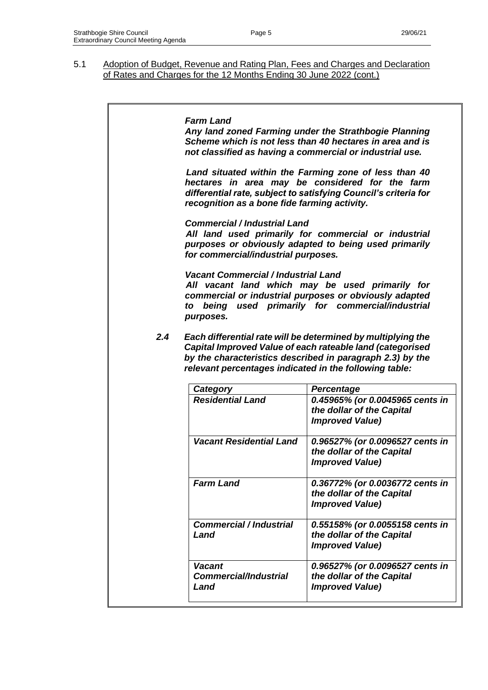|     | <b>Farm Land</b><br>Any land zoned Farming under the Strathbogie Planning<br>Scheme which is not less than 40 hectares in area and is<br>not classified as having a commercial or industrial use.                           |                                                                                                                                                                                        |  |  |
|-----|-----------------------------------------------------------------------------------------------------------------------------------------------------------------------------------------------------------------------------|----------------------------------------------------------------------------------------------------------------------------------------------------------------------------------------|--|--|
|     | Land situated within the Farming zone of less than 40<br>hectares in area may be considered for the farm<br>differential rate, subject to satisfying Council's criteria for<br>recognition as a bone fide farming activity. |                                                                                                                                                                                        |  |  |
|     | <b>Commercial / Industrial Land</b><br>for commercial/industrial purposes.                                                                                                                                                  | All land used primarily for commercial or industrial<br>purposes or obviously adapted to being used primarily                                                                          |  |  |
|     | <b>Vacant Commercial / Industrial Land</b><br>to<br>purposes.                                                                                                                                                               | All vacant land which may be used primarily for<br>commercial or industrial purposes or obviously adapted<br>being used primarily for commercial/industrial                            |  |  |
| 2.4 | relevant percentages indicated in the following table:                                                                                                                                                                      | Each differential rate will be determined by multiplying the<br>Capital Improved Value of each rateable land (categorised<br>by the characteristics described in paragraph 2.3) by the |  |  |
|     | Category                                                                                                                                                                                                                    | Percentage                                                                                                                                                                             |  |  |
|     | <b>Residential Land</b>                                                                                                                                                                                                     | 0.45965% (or 0.0045965 cents in<br>the dollar of the Capital<br><b>Improved Value)</b>                                                                                                 |  |  |
|     | <b>Vacant Residential Land</b>                                                                                                                                                                                              | 0.96527% (or 0.0096527 cents in<br>the dollar of the Capital<br><b>Improved Value)</b>                                                                                                 |  |  |
|     | <b>Farm Land</b>                                                                                                                                                                                                            | 0.36772% (or 0.0036772 cents in<br>the dollar of the Capital<br><b>Improved Value)</b>                                                                                                 |  |  |
|     | <b>Commercial / Industrial</b><br>Land                                                                                                                                                                                      | 0.55158% (or 0.0055158 cents in<br>the dollar of the Capital<br><b>Improved Value)</b>                                                                                                 |  |  |
|     | <b>Vacant</b><br><b>Commercial/Industrial</b><br>Land                                                                                                                                                                       | 0.96527% (or 0.0096527 cents in<br>the dollar of the Capital<br><b>Improved Value)</b>                                                                                                 |  |  |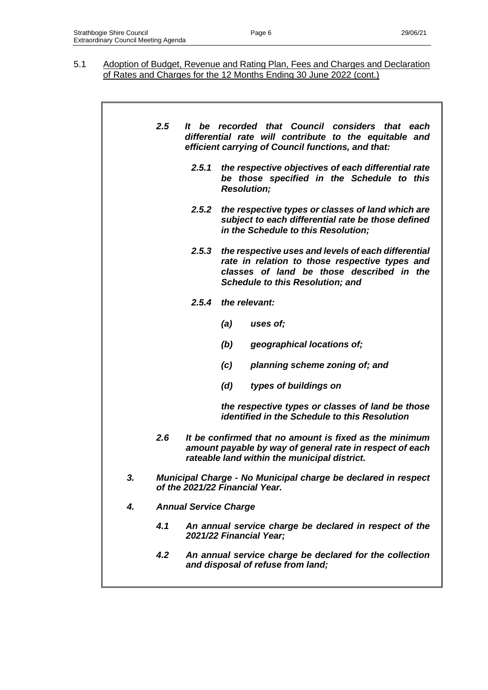|    | 2.5 | It be recorded that Council considers that each<br>differential rate will contribute to the equitable and<br>efficient carrying of Council functions, and that:                                        |
|----|-----|--------------------------------------------------------------------------------------------------------------------------------------------------------------------------------------------------------|
|    |     | the respective objectives of each differential rate<br>2.5.1<br>be those specified in the Schedule to this<br><b>Resolution;</b>                                                                       |
|    |     | 2.5.2 the respective types or classes of land which are<br>subject to each differential rate be those defined<br>in the Schedule to this Resolution;                                                   |
|    |     | 2.5.3<br>the respective uses and levels of each differential<br>rate in relation to those respective types and<br>classes of land be those described in the<br><b>Schedule to this Resolution; and</b> |
|    |     | the relevant:<br>2.5.4                                                                                                                                                                                 |
|    |     | (a)<br>uses of;                                                                                                                                                                                        |
|    |     | (b)<br>geographical locations of;                                                                                                                                                                      |
|    |     | planning scheme zoning of; and<br>(c)                                                                                                                                                                  |
|    |     | types of buildings on<br>(d)                                                                                                                                                                           |
|    |     | the respective types or classes of land be those<br><i>identified in the Schedule to this Resolution</i>                                                                                               |
|    | 2.6 | It be confirmed that no amount is fixed as the minimum<br>amount payable by way of general rate in respect of each<br>rateable land within the municipal district.                                     |
| 3. |     | Municipal Charge - No Municipal charge be declared in respect<br>of the 2021/22 Financial Year.                                                                                                        |
| 4. |     | <b>Annual Service Charge</b>                                                                                                                                                                           |
|    | 4.1 | An annual service charge be declared in respect of the<br>2021/22 Financial Year;                                                                                                                      |
|    | 4.2 | An annual service charge be declared for the collection<br>and disposal of refuse from land;                                                                                                           |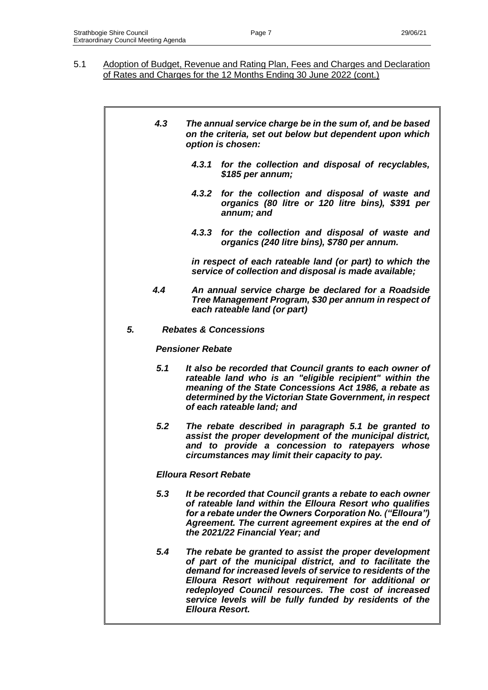|    | 4.3 | The annual service charge be in the sum of, and be based<br>on the criteria, set out below but dependent upon which<br>option is chosen:                                                                                                                                                                                                                                             |  |  |
|----|-----|--------------------------------------------------------------------------------------------------------------------------------------------------------------------------------------------------------------------------------------------------------------------------------------------------------------------------------------------------------------------------------------|--|--|
|    |     | 4.3.1 for the collection and disposal of recyclables,<br>\$185 per annum;                                                                                                                                                                                                                                                                                                            |  |  |
|    |     | 4.3.2 for the collection and disposal of waste and<br>organics (80 litre or 120 litre bins), \$391 per<br>annum; and                                                                                                                                                                                                                                                                 |  |  |
|    |     | for the collection and disposal of waste and<br>4.3.3<br>organics (240 litre bins), \$780 per annum.                                                                                                                                                                                                                                                                                 |  |  |
|    |     | in respect of each rateable land (or part) to which the<br>service of collection and disposal is made available;                                                                                                                                                                                                                                                                     |  |  |
|    | 4.4 | An annual service charge be declared for a Roadside<br>Tree Management Program, \$30 per annum in respect of<br>each rateable land (or part)                                                                                                                                                                                                                                         |  |  |
| 5. |     | <b>Rebates &amp; Concessions</b>                                                                                                                                                                                                                                                                                                                                                     |  |  |
|    |     | <b>Pensioner Rebate</b>                                                                                                                                                                                                                                                                                                                                                              |  |  |
|    | 5.1 | It also be recorded that Council grants to each owner of<br>rateable land who is an "eligible recipient" within the<br>meaning of the State Concessions Act 1986, a rebate as<br>determined by the Victorian State Government, in respect<br>of each rateable land; and                                                                                                              |  |  |
|    | 5.2 | The rebate described in paragraph 5.1 be granted to<br>assist the proper development of the municipal district,<br>and to provide a concession to ratepayers whose<br>circumstances may limit their capacity to pay.                                                                                                                                                                 |  |  |
|    |     | <b>Elloura Resort Rebate</b>                                                                                                                                                                                                                                                                                                                                                         |  |  |
|    | 5.3 | It be recorded that Council grants a rebate to each owner<br>of rateable land within the Elloura Resort who qualifies<br>for a rebate under the Owners Corporation No. ("Elloura")<br>Agreement. The current agreement expires at the end of<br>the 2021/22 Financial Year; and                                                                                                      |  |  |
|    | 5.4 | The rebate be granted to assist the proper development<br>of part of the municipal district, and to facilitate the<br>demand for increased levels of service to residents of the<br>Elloura Resort without requirement for additional or<br>redeployed Council resources. The cost of increased<br>service levels will be fully funded by residents of the<br><b>Elloura Resort.</b> |  |  |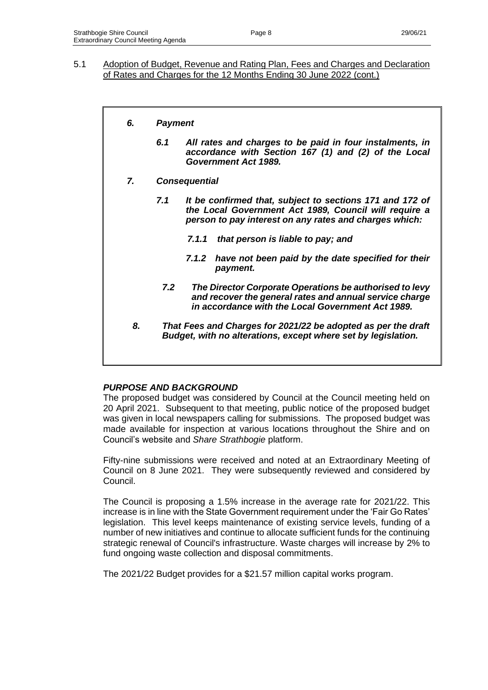## *6. Payment*

- *6.1 All rates and charges to be paid in four instalments, in accordance with Section 167 (1) and (2) of the Local Government Act 1989.*
- *7. Consequential*
	- *7.1 It be confirmed that, subject to sections 171 and 172 of the Local Government Act 1989, Council will require a person to pay interest on any rates and charges which:*
		- *7.1.1 that person is liable to pay; and*
		- *7.1.2 have not been paid by the date specified for their payment.*
		- *7.2 The Director Corporate Operations be authorised to levy and recover the general rates and annual service charge in accordance with the Local Government Act 1989.*
	- *8. That Fees and Charges for 2021/22 be adopted as per the draft Budget, with no alterations, except where set by legislation.*

## *PURPOSE AND BACKGROUND*

The proposed budget was considered by Council at the Council meeting held on 20 April 2021. Subsequent to that meeting, public notice of the proposed budget was given in local newspapers calling for submissions. The proposed budget was made available for inspection at various locations throughout the Shire and on Council's website and *Share Strathbogie* platform.

Fifty-nine submissions were received and noted at an Extraordinary Meeting of Council on 8 June 2021. They were subsequently reviewed and considered by Council.

The Council is proposing a 1.5% increase in the average rate for 2021/22. This increase is in line with the State Government requirement under the 'Fair Go Rates' legislation. This level keeps maintenance of existing service levels, funding of a number of new initiatives and continue to allocate sufficient funds for the continuing strategic renewal of Council's infrastructure. Waste charges will increase by 2% to fund ongoing waste collection and disposal commitments.

The 2021/22 Budget provides for a \$21.57 million capital works program.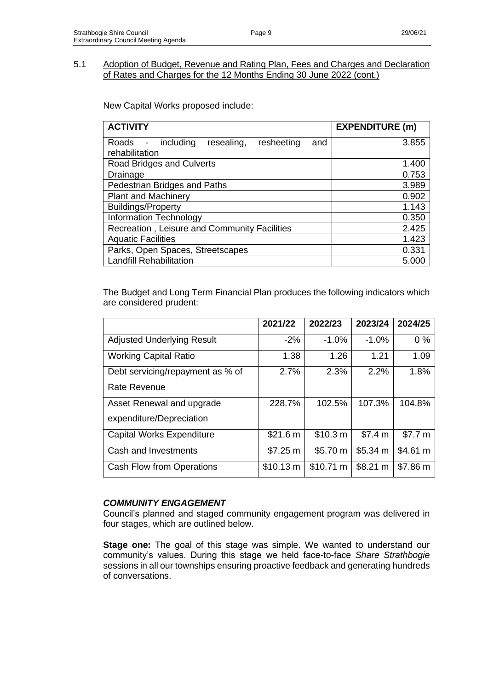New Capital Works proposed include:

| <b>ACTIVITY</b>                                                                   | <b>EXPENDITURE (m)</b> |
|-----------------------------------------------------------------------------------|------------------------|
| including<br>resealing,<br>resheeting<br>Roads<br>and<br>$\overline{\phantom{a}}$ | 3.855                  |
| rehabilitation                                                                    |                        |
| Road Bridges and Culverts                                                         | 1.400                  |
| Drainage                                                                          | 0.753                  |
| Pedestrian Bridges and Paths                                                      | 3.989                  |
| <b>Plant and Machinery</b>                                                        | 0.902                  |
| <b>Buildings/Property</b>                                                         | 1.143                  |
| <b>Information Technology</b>                                                     | 0.350                  |
| Recreation, Leisure and Community Facilities                                      | 2.425                  |
| <b>Aquatic Facilities</b>                                                         | 1.423                  |
| Parks, Open Spaces, Streetscapes                                                  | 0.331                  |
| <b>Landfill Rehabilitation</b>                                                    | 5.000                  |

The Budget and Long Term Financial Plan produces the following indicators which are considered prudent:

|                                   | 2021/22   | 2022/23   | 2023/24  | 2024/25  |
|-----------------------------------|-----------|-----------|----------|----------|
| <b>Adjusted Underlying Result</b> | $-2\%$    | $-1.0%$   | $-1.0%$  | $0\%$    |
| <b>Working Capital Ratio</b>      | 1.38      | 1.26      | 1.21     | 1.09     |
| Debt servicing/repayment as % of  | 2.7%      | 2.3%      | 2.2%     | 1.8%     |
| Rate Revenue                      |           |           |          |          |
| Asset Renewal and upgrade         | 228.7%    | 102.5%    | 107.3%   | 104.8%   |
| expenditure/Depreciation          |           |           |          |          |
| <b>Capital Works Expenditure</b>  | \$21.6 m  | \$10.3 m  | \$7.4 m  | \$7.7 m  |
| Cash and Investments              | \$7.25 m  | \$5.70 m  | \$5.34 m | \$4.61 m |
| Cash Flow from Operations         | \$10.13 m | \$10.71 m | \$8.21 m | \$7.86 m |

## *COMMUNITY ENGAGEMENT*

Council's planned and staged community engagement program was delivered in four stages, which are outlined below.

**Stage one:** The goal of this stage was simple. We wanted to understand our community's values. During this stage we held face-to-face *Share Strathbogie* sessions in all our townships ensuring proactive feedback and generating hundreds of conversations.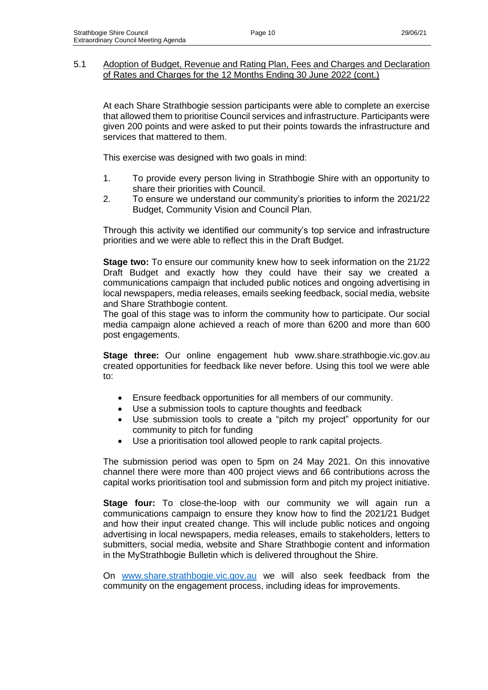At each Share Strathbogie session participants were able to complete an exercise that allowed them to prioritise Council services and infrastructure. Participants were given 200 points and were asked to put their points towards the infrastructure and services that mattered to them.

This exercise was designed with two goals in mind:

- 1. To provide every person living in Strathbogie Shire with an opportunity to share their priorities with Council.
- 2. To ensure we understand our community's priorities to inform the 2021/22 Budget, Community Vision and Council Plan.

Through this activity we identified our community's top service and infrastructure priorities and we were able to reflect this in the Draft Budget.

**Stage two:** To ensure our community knew how to seek information on the 21/22 Draft Budget and exactly how they could have their say we created a communications campaign that included public notices and ongoing advertising in local newspapers, media releases, emails seeking feedback, social media, website and Share Strathbogie content.

The goal of this stage was to inform the community how to participate. Our social media campaign alone achieved a reach of more than 6200 and more than 600 post engagements.

**Stage three:** Our online engagement hub www.share.strathbogie.vic.gov.au created opportunities for feedback like never before. Using this tool we were able to:

- Ensure feedback opportunities for all members of our community.
- Use a submission tools to capture thoughts and feedback
- Use submission tools to create a "pitch my project" opportunity for our community to pitch for funding
- Use a prioritisation tool allowed people to rank capital projects.

The submission period was open to 5pm on 24 May 2021. On this innovative channel there were more than 400 project views and 66 contributions across the capital works prioritisation tool and submission form and pitch my project initiative.

**Stage four:** To close-the-loop with our community we will again run a communications campaign to ensure they know how to find the 2021/21 Budget and how their input created change. This will include public notices and ongoing advertising in local newspapers, media releases, emails to stakeholders, letters to submitters, social media, website and Share Strathbogie content and information in the MyStrathbogie Bulletin which is delivered throughout the Shire.

On [www.share.strathbogie.vic.gov.au](http://www.share.strathbogie.vic.gov.au/) we will also seek feedback from the community on the engagement process, including ideas for improvements.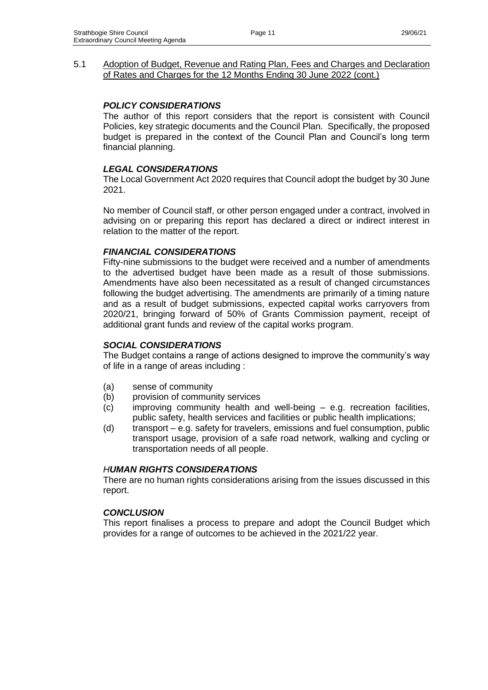## *POLICY CONSIDERATIONS*

The author of this report considers that the report is consistent with Council Policies, key strategic documents and the Council Plan. Specifically, the proposed budget is prepared in the context of the Council Plan and Council's long term financial planning.

#### *LEGAL CONSIDERATIONS*

The Local Government Act 2020 requires that Council adopt the budget by 30 June 2021.

No member of Council staff, or other person engaged under a contract, involved in advising on or preparing this report has declared a direct or indirect interest in relation to the matter of the report.

#### *FINANCIAL CONSIDERATIONS*

Fifty-nine submissions to the budget were received and a number of amendments to the advertised budget have been made as a result of those submissions. Amendments have also been necessitated as a result of changed circumstances following the budget advertising. The amendments are primarily of a timing nature and as a result of budget submissions, expected capital works carryovers from 2020/21, bringing forward of 50% of Grants Commission payment, receipt of additional grant funds and review of the capital works program.

#### *SOCIAL CONSIDERATIONS*

The Budget contains a range of actions designed to improve the community's way of life in a range of areas including :

- (a) sense of community
- (b) provision of community services
- (c) improving community health and well-being e.g. recreation facilities, public safety, health services and facilities or public health implications;
- (d) transport e.g. safety for travelers, emissions and fuel consumption, public transport usage, provision of a safe road network, walking and cycling or transportation needs of all people.

#### *HUMAN RIGHTS CONSIDERATIONS*

There are no human rights considerations arising from the issues discussed in this report.

#### *CONCLUSION*

This report finalises a process to prepare and adopt the Council Budget which provides for a range of outcomes to be achieved in the 2021/22 year.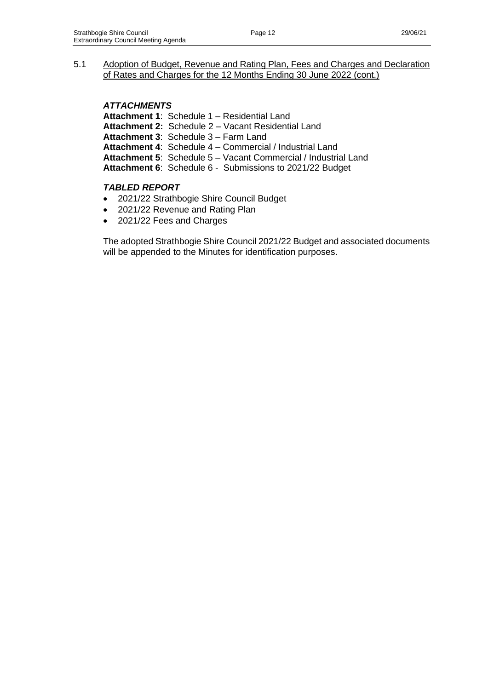*ATTACHMENTS*

**Attachment 1**: Schedule 1 – Residential Land

**Attachment 2:** Schedule 2 – Vacant Residential Land

**Attachment 3**: Schedule 3 – Farm Land

**Attachment 4**: Schedule 4 – Commercial / Industrial Land

**Attachment 5**: Schedule 5 – Vacant Commercial / Industrial Land

**Attachment 6**: Schedule 6 - Submissions to 2021/22 Budget

## *TABLED REPORT*

- 2021/22 Strathbogie Shire Council Budget
- 2021/22 Revenue and Rating Plan
- 2021/22 Fees and Charges

The adopted Strathbogie Shire Council 2021/22 Budget and associated documents will be appended to the Minutes for identification purposes.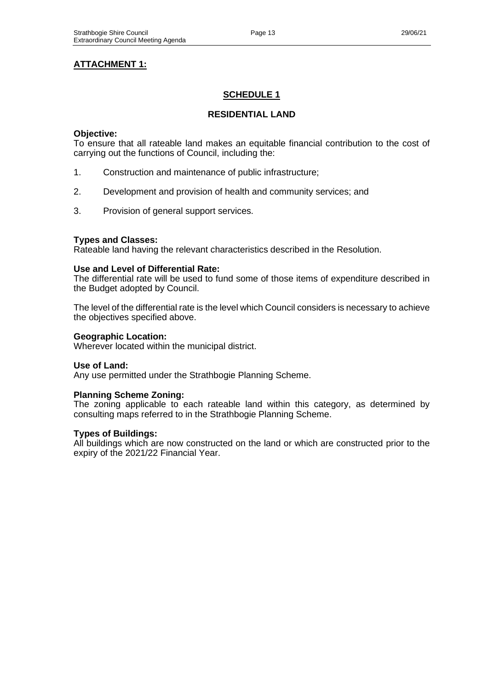# **SCHEDULE 1**

## **RESIDENTIAL LAND**

## **Objective:**

To ensure that all rateable land makes an equitable financial contribution to the cost of carrying out the functions of Council, including the:

- 1. Construction and maintenance of public infrastructure;
- 2. Development and provision of health and community services; and
- 3. Provision of general support services.

## **Types and Classes:**

Rateable land having the relevant characteristics described in the Resolution.

## **Use and Level of Differential Rate:**

The differential rate will be used to fund some of those items of expenditure described in the Budget adopted by Council.

The level of the differential rate is the level which Council considers is necessary to achieve the objectives specified above.

## **Geographic Location:**

Wherever located within the municipal district.

#### **Use of Land:**

Any use permitted under the Strathbogie Planning Scheme.

## **Planning Scheme Zoning:**

The zoning applicable to each rateable land within this category, as determined by consulting maps referred to in the Strathbogie Planning Scheme.

## **Types of Buildings:**

All buildings which are now constructed on the land or which are constructed prior to the expiry of the 2021/22 Financial Year.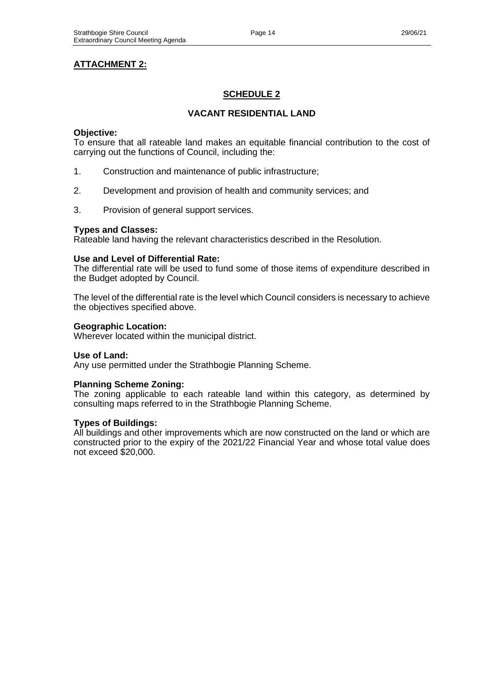## **ATTACHMENT 2:**

## **SCHEDULE 2**

## **VACANT RESIDENTIAL LAND**

#### **Objective:**

To ensure that all rateable land makes an equitable financial contribution to the cost of carrying out the functions of Council, including the:

- 1. Construction and maintenance of public infrastructure;
- 2. Development and provision of health and community services; and
- 3. Provision of general support services.

#### **Types and Classes:**

Rateable land having the relevant characteristics described in the Resolution.

#### **Use and Level of Differential Rate:**

The differential rate will be used to fund some of those items of expenditure described in the Budget adopted by Council.

The level of the differential rate is the level which Council considers is necessary to achieve the objectives specified above.

#### **Geographic Location:**

Wherever located within the municipal district.

#### **Use of Land:**

Any use permitted under the Strathbogie Planning Scheme.

#### **Planning Scheme Zoning:**

The zoning applicable to each rateable land within this category, as determined by consulting maps referred to in the Strathbogie Planning Scheme.

#### **Types of Buildings:**

All buildings and other improvements which are now constructed on the land or which are constructed prior to the expiry of the 2021/22 Financial Year and whose total value does not exceed \$20,000.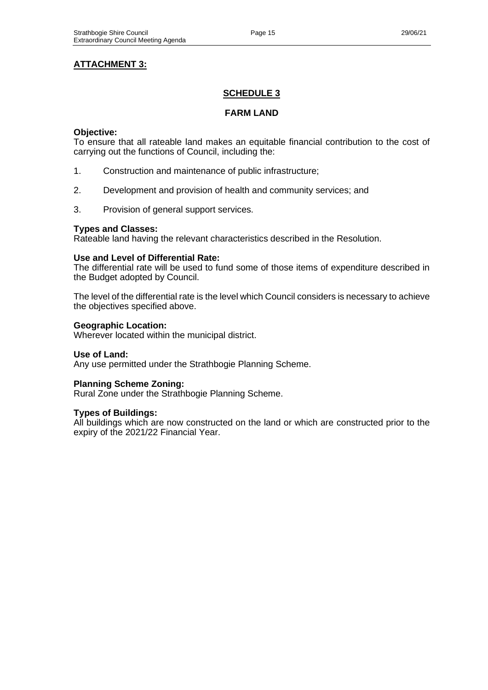## **ATTACHMENT 3:**

## **SCHEDULE 3**

### **FARM LAND**

#### **Objective:**

To ensure that all rateable land makes an equitable financial contribution to the cost of carrying out the functions of Council, including the:

- 1. Construction and maintenance of public infrastructure;
- 2. Development and provision of health and community services; and
- 3. Provision of general support services.

#### **Types and Classes:**

Rateable land having the relevant characteristics described in the Resolution.

#### **Use and Level of Differential Rate:**

The differential rate will be used to fund some of those items of expenditure described in the Budget adopted by Council.

The level of the differential rate is the level which Council considers is necessary to achieve the objectives specified above.

#### **Geographic Location:**

Wherever located within the municipal district.

#### **Use of Land:**

Any use permitted under the Strathbogie Planning Scheme.

#### **Planning Scheme Zoning:**

Rural Zone under the Strathbogie Planning Scheme.

#### **Types of Buildings:**

All buildings which are now constructed on the land or which are constructed prior to the expiry of the 2021/22 Financial Year.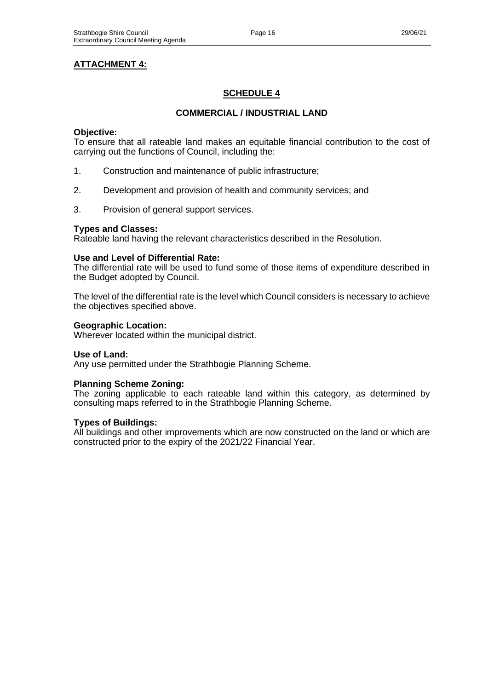## **ATTACHMENT 4:**

## **SCHEDULE 4**

## **COMMERCIAL / INDUSTRIAL LAND**

#### **Objective:**

To ensure that all rateable land makes an equitable financial contribution to the cost of carrying out the functions of Council, including the:

- 1. Construction and maintenance of public infrastructure;
- 2. Development and provision of health and community services; and
- 3. Provision of general support services.

#### **Types and Classes:**

Rateable land having the relevant characteristics described in the Resolution.

#### **Use and Level of Differential Rate:**

The differential rate will be used to fund some of those items of expenditure described in the Budget adopted by Council.

The level of the differential rate is the level which Council considers is necessary to achieve the objectives specified above.

#### **Geographic Location:**

Wherever located within the municipal district.

#### **Use of Land:**

Any use permitted under the Strathbogie Planning Scheme.

#### **Planning Scheme Zoning:**

The zoning applicable to each rateable land within this category, as determined by consulting maps referred to in the Strathbogie Planning Scheme.

## **Types of Buildings:**

All buildings and other improvements which are now constructed on the land or which are constructed prior to the expiry of the 2021/22 Financial Year.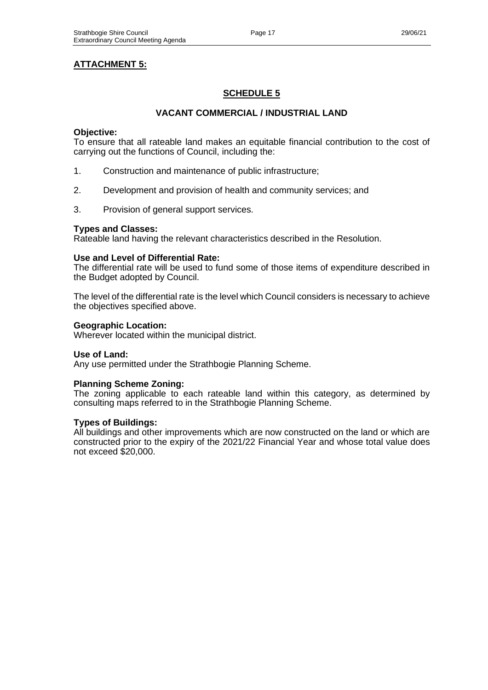## **ATTACHMENT 5:**

## **SCHEDULE 5**

## **VACANT COMMERCIAL / INDUSTRIAL LAND**

#### **Objective:**

To ensure that all rateable land makes an equitable financial contribution to the cost of carrying out the functions of Council, including the:

- 1. Construction and maintenance of public infrastructure;
- 2. Development and provision of health and community services; and
- 3. Provision of general support services.

#### **Types and Classes:**

Rateable land having the relevant characteristics described in the Resolution.

#### **Use and Level of Differential Rate:**

The differential rate will be used to fund some of those items of expenditure described in the Budget adopted by Council.

The level of the differential rate is the level which Council considers is necessary to achieve the objectives specified above.

#### **Geographic Location:**

Wherever located within the municipal district.

#### **Use of Land:**

Any use permitted under the Strathbogie Planning Scheme.

#### **Planning Scheme Zoning:**

The zoning applicable to each rateable land within this category, as determined by consulting maps referred to in the Strathbogie Planning Scheme.

## **Types of Buildings:**

All buildings and other improvements which are now constructed on the land or which are constructed prior to the expiry of the 2021/22 Financial Year and whose total value does not exceed \$20,000.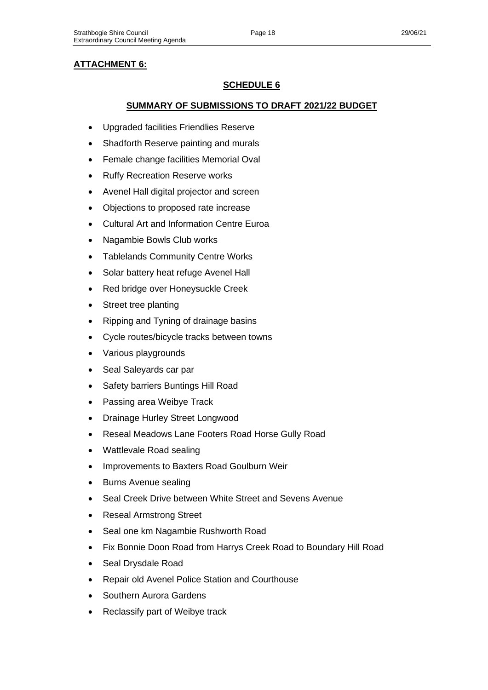## **ATTACHMENT 6:**

## **SCHEDULE 6**

## **SUMMARY OF SUBMISSIONS TO DRAFT 2021/22 BUDGET**

- Upgraded facilities Friendlies Reserve
- Shadforth Reserve painting and murals
- Female change facilities Memorial Oval
- **Ruffy Recreation Reserve works**
- Avenel Hall digital projector and screen
- Objections to proposed rate increase
- Cultural Art and Information Centre Euroa
- Nagambie Bowls Club works
- Tablelands Community Centre Works
- Solar battery heat refuge Avenel Hall
- Red bridge over Honeysuckle Creek
- Street tree planting
- Ripping and Tyning of drainage basins
- Cycle routes/bicycle tracks between towns
- Various playgrounds
- Seal Saleyards car par
- Safety barriers Buntings Hill Road
- Passing area Weibye Track
- Drainage Hurley Street Longwood
- Reseal Meadows Lane Footers Road Horse Gully Road
- Wattlevale Road sealing
- Improvements to Baxters Road Goulburn Weir
- Burns Avenue sealing
- Seal Creek Drive between White Street and Sevens Avenue
- Reseal Armstrong Street
- Seal one km Nagambie Rushworth Road
- Fix Bonnie Doon Road from Harrys Creek Road to Boundary Hill Road
- Seal Drysdale Road
- Repair old Avenel Police Station and Courthouse
- Southern Aurora Gardens
- Reclassify part of Weibye track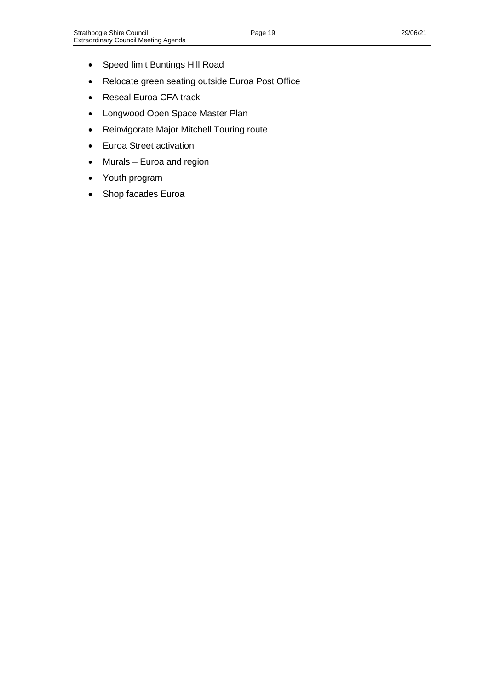- Speed limit Buntings Hill Road
- Relocate green seating outside Euroa Post Office
- Reseal Euroa CFA track
- Longwood Open Space Master Plan
- Reinvigorate Major Mitchell Touring route
- Euroa Street activation
- Murals Euroa and region
- Youth program
- Shop facades Euroa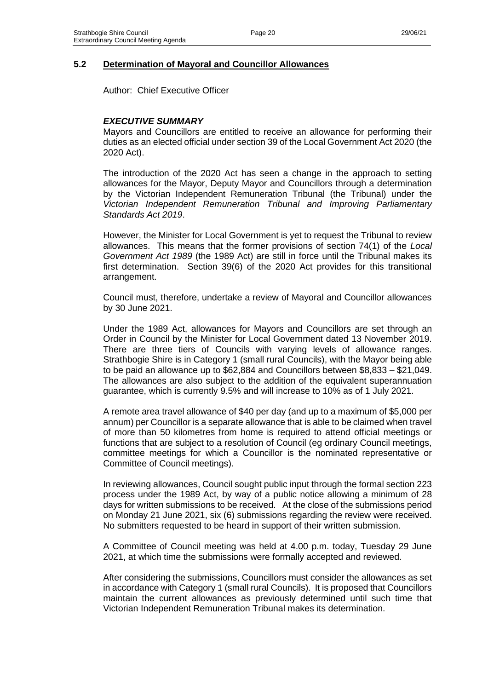Author: Chief Executive Officer

## *EXECUTIVE SUMMARY*

Mayors and Councillors are entitled to receive an allowance for performing their duties as an elected official under section 39 of the Local Government Act 2020 (the 2020 Act).

The introduction of the 2020 Act has seen a change in the approach to setting allowances for the Mayor, Deputy Mayor and Councillors through a determination by the Victorian Independent Remuneration Tribunal (the Tribunal) under the *Victorian Independent Remuneration Tribunal and Improving Parliamentary Standards Act 2019*.

However, the Minister for Local Government is yet to request the Tribunal to review allowances. This means that the former provisions of section 74(1) of the *Local Government Act 1989* (the 1989 Act) are still in force until the Tribunal makes its first determination. Section 39(6) of the 2020 Act provides for this transitional arrangement.

Council must, therefore, undertake a review of Mayoral and Councillor allowances by 30 June 2021.

Under the 1989 Act, allowances for Mayors and Councillors are set through an Order in Council by the Minister for Local Government dated 13 November 2019. There are three tiers of Councils with varying levels of allowance ranges. Strathbogie Shire is in Category 1 (small rural Councils), with the Mayor being able to be paid an allowance up to \$62,884 and Councillors between \$8,833 – \$21,049. The allowances are also subject to the addition of the equivalent superannuation guarantee, which is currently 9.5% and will increase to 10% as of 1 July 2021.

A remote area travel allowance of \$40 per day (and up to a maximum of \$5,000 per annum) per Councillor is a separate allowance that is able to be claimed when travel of more than 50 kilometres from home is required to attend official meetings or functions that are subject to a resolution of Council (eg ordinary Council meetings, committee meetings for which a Councillor is the nominated representative or Committee of Council meetings).

In reviewing allowances, Council sought public input through the formal section 223 process under the 1989 Act, by way of a public notice allowing a minimum of 28 days for written submissions to be received. At the close of the submissions period on Monday 21 June 2021, six (6) submissions regarding the review were received. No submitters requested to be heard in support of their written submission.

A Committee of Council meeting was held at 4.00 p.m. today, Tuesday 29 June 2021, at which time the submissions were formally accepted and reviewed.

After considering the submissions, Councillors must consider the allowances as set in accordance with Category 1 (small rural Councils). It is proposed that Councillors maintain the current allowances as previously determined until such time that Victorian Independent Remuneration Tribunal makes its determination.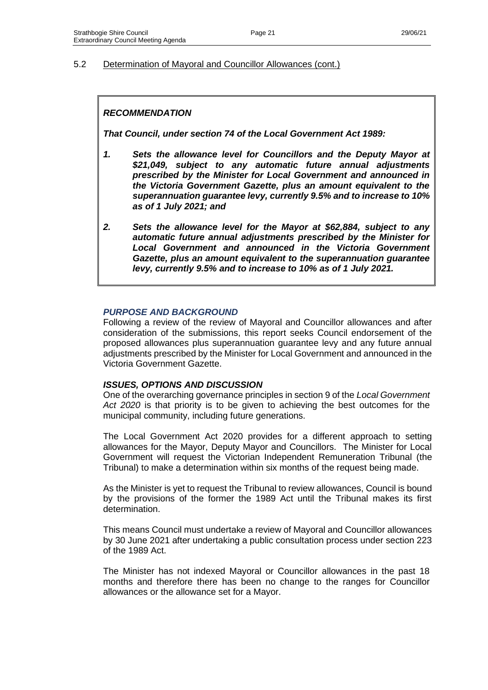## *RECOMMENDATION*

*That Council, under section 74 of the Local Government Act 1989:*

- *1. Sets the allowance level for Councillors and the Deputy Mayor at \$21,049, subject to any automatic future annual adjustments prescribed by the Minister for Local Government and announced in the Victoria Government Gazette, plus an amount equivalent to the superannuation guarantee levy, currently 9.5% and to increase to 10% as of 1 July 2021; and*
- *2. Sets the allowance level for the Mayor at \$62,884, subject to any automatic future annual adjustments prescribed by the Minister for Local Government and announced in the Victoria Government Gazette, plus an amount equivalent to the superannuation guarantee levy, currently 9.5% and to increase to 10% as of 1 July 2021.*

#### *PURPOSE AND BACKGROUND*

Following a review of the review of Mayoral and Councillor allowances and after consideration of the submissions, this report seeks Council endorsement of the proposed allowances plus superannuation guarantee levy and any future annual adjustments prescribed by the Minister for Local Government and announced in the Victoria Government Gazette.

#### *ISSUES, OPTIONS AND DISCUSSION*

One of the overarching governance principles in section 9 of the *Local Government Act 2020* is that priority is to be given to achieving the best outcomes for the municipal community, including future generations.

The Local Government Act 2020 provides for a different approach to setting allowances for the Mayor, Deputy Mayor and Councillors. The Minister for Local Government will request the Victorian Independent Remuneration Tribunal (the Tribunal) to make a determination within six months of the request being made.

As the Minister is yet to request the Tribunal to review allowances, Council is bound by the provisions of the former the 1989 Act until the Tribunal makes its first determination.

This means Council must undertake a review of Mayoral and Councillor allowances by 30 June 2021 after undertaking a public consultation process under section 223 of the 1989 Act.

The Minister has not indexed Mayoral or Councillor allowances in the past 18 months and therefore there has been no change to the ranges for Councillor allowances or the allowance set for a Mayor.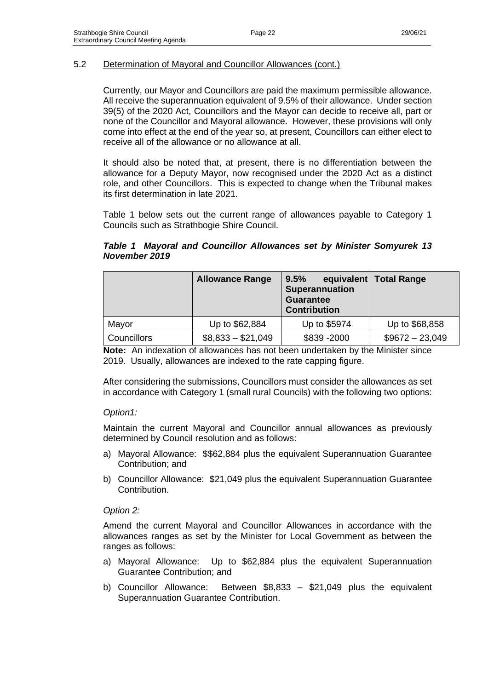Currently, our Mayor and Councillors are paid the maximum permissible allowance. All receive the superannuation equivalent of 9.5% of their allowance. Under section 39(5) of the 2020 Act, Councillors and the Mayor can decide to receive all, part or none of the Councillor and Mayoral allowance. However, these provisions will only come into effect at the end of the year so, at present, Councillors can either elect to receive all of the allowance or no allowance at all.

It should also be noted that, at present, there is no differentiation between the allowance for a Deputy Mayor, now recognised under the 2020 Act as a distinct role, and other Councillors. This is expected to change when the Tribunal makes its first determination in late 2021.

Table 1 below sets out the current range of allowances payable to Category 1 Councils such as Strathbogie Shire Council.

## *Table 1 Mayoral and Councillor Allowances set by Minister Somyurek 13 November 2019*

|             | <b>Allowance Range</b> | 9.5%<br>Superannuation<br><b>Guarantee</b><br><b>Contribution</b> | equivalent   Total Range |
|-------------|------------------------|-------------------------------------------------------------------|--------------------------|
| Mayor       | Up to \$62,884         | Up to \$5974                                                      | Up to \$68,858           |
| Councillors | $$8,833 - $21,049$     | \$839 - 2000                                                      | $$9672 - 23,049$         |

**Note:** An indexation of allowances has not been undertaken by the Minister since 2019. Usually, allowances are indexed to the rate capping figure.

After considering the submissions, Councillors must consider the allowances as set in accordance with Category 1 (small rural Councils) with the following two options:

## *Option1:*

Maintain the current Mayoral and Councillor annual allowances as previously determined by Council resolution and as follows:

- a) Mayoral Allowance: \$\$62,884 plus the equivalent Superannuation Guarantee Contribution; and
- b) Councillor Allowance: \$21,049 plus the equivalent Superannuation Guarantee Contribution.

## *Option 2:*

Amend the current Mayoral and Councillor Allowances in accordance with the allowances ranges as set by the Minister for Local Government as between the ranges as follows:

- a) Mayoral Allowance: Up to \$62,884 plus the equivalent Superannuation Guarantee Contribution; and
- b) Councillor Allowance: Between \$8,833 \$21,049 plus the equivalent Superannuation Guarantee Contribution.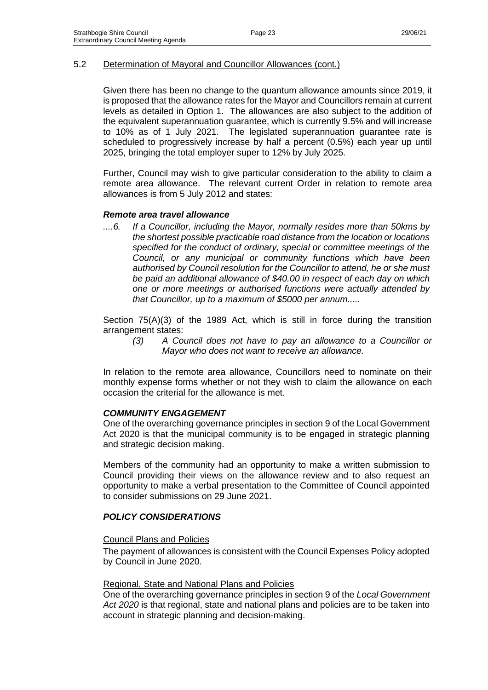Given there has been no change to the quantum allowance amounts since 2019, it is proposed that the allowance rates for the Mayor and Councillors remain at current levels as detailed in Option 1. The allowances are also subject to the addition of the equivalent superannuation guarantee, which is currently 9.5% and will increase to 10% as of 1 July 2021. The legislated superannuation guarantee rate is scheduled to progressively increase by half a percent (0.5%) each year up until 2025, bringing the total employer super to 12% by July 2025.

Further, Council may wish to give particular consideration to the ability to claim a remote area allowance. The relevant current Order in relation to remote area allowances is from 5 July 2012 and states:

#### *Remote area travel allowance*

*....6. If a Councillor, including the Mayor, normally resides more than 50kms by the shortest possible practicable road distance from the location or locations specified for the conduct of ordinary, special or committee meetings of the Council, or any municipal or community functions which have been authorised by Council resolution for the Councillor to attend, he or she must be paid an additional allowance of \$40.00 in respect of each day on which one or more meetings or authorised functions were actually attended by that Councillor, up to a maximum of \$5000 per annum.....*

Section 75(A)(3) of the 1989 Act, which is still in force during the transition arrangement states:

*(3) A Council does not have to pay an allowance to a Councillor or Mayor who does not want to receive an allowance.*

In relation to the remote area allowance, Councillors need to nominate on their monthly expense forms whether or not they wish to claim the allowance on each occasion the criterial for the allowance is met.

#### *COMMUNITY ENGAGEMENT*

One of the overarching governance principles in section 9 of the Local Government Act 2020 is that the municipal community is to be engaged in strategic planning and strategic decision making.

Members of the community had an opportunity to make a written submission to Council providing their views on the allowance review and to also request an opportunity to make a verbal presentation to the Committee of Council appointed to consider submissions on 29 June 2021.

## *POLICY CONSIDERATIONS*

#### Council Plans and Policies

The payment of allowances is consistent with the Council Expenses Policy adopted by Council in June 2020.

#### Regional, State and National Plans and Policies

One of the overarching governance principles in section 9 of the *Local Government Act 2020* is that regional, state and national plans and policies are to be taken into account in strategic planning and decision-making.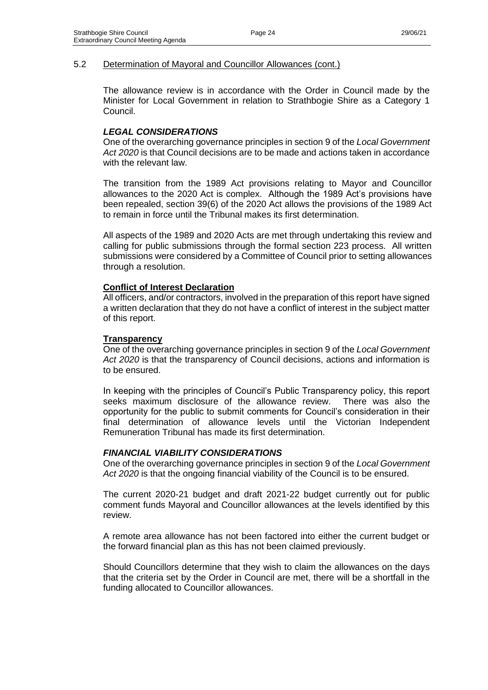The allowance review is in accordance with the Order in Council made by the Minister for Local Government in relation to Strathbogie Shire as a Category 1 Council.

## *LEGAL CONSIDERATIONS*

One of the overarching governance principles in section 9 of the *Local Government Act 2020* is that Council decisions are to be made and actions taken in accordance with the relevant law.

The transition from the 1989 Act provisions relating to Mayor and Councillor allowances to the 2020 Act is complex. Although the 1989 Act's provisions have been repealed, section 39(6) of the 2020 Act allows the provisions of the 1989 Act to remain in force until the Tribunal makes its first determination.

All aspects of the 1989 and 2020 Acts are met through undertaking this review and calling for public submissions through the formal section 223 process. All written submissions were considered by a Committee of Council prior to setting allowances through a resolution.

#### **Conflict of Interest Declaration**

All officers, and/or contractors, involved in the preparation of this report have signed a written declaration that they do not have a conflict of interest in the subject matter of this report.

#### **Transparency**

One of the overarching governance principles in section 9 of the *Local Government Act 2020* is that the transparency of Council decisions, actions and information is to be ensured.

In keeping with the principles of Council's Public Transparency policy, this report seeks maximum disclosure of the allowance review. There was also the opportunity for the public to submit comments for Council's consideration in their final determination of allowance levels until the Victorian Independent Remuneration Tribunal has made its first determination.

#### *FINANCIAL VIABILITY CONSIDERATIONS*

One of the overarching governance principles in section 9 of the *Local Government Act 2020* is that the ongoing financial viability of the Council is to be ensured.

The current 2020-21 budget and draft 2021-22 budget currently out for public comment funds Mayoral and Councillor allowances at the levels identified by this review.

A remote area allowance has not been factored into either the current budget or the forward financial plan as this has not been claimed previously.

Should Councillors determine that they wish to claim the allowances on the days that the criteria set by the Order in Council are met, there will be a shortfall in the funding allocated to Councillor allowances.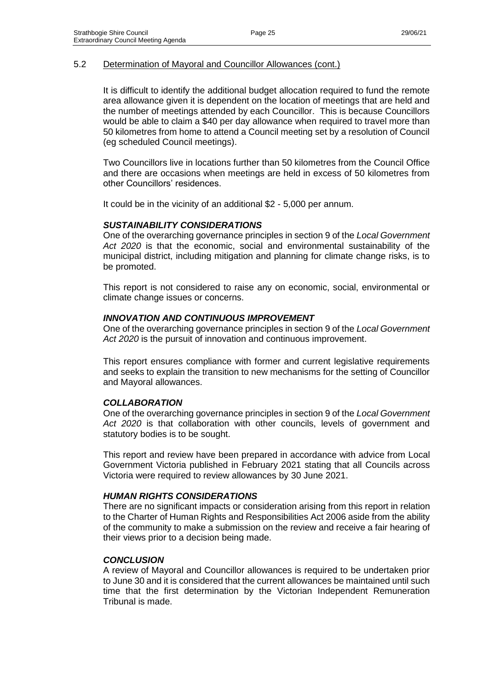It is difficult to identify the additional budget allocation required to fund the remote area allowance given it is dependent on the location of meetings that are held and the number of meetings attended by each Councillor. This is because Councillors would be able to claim a \$40 per day allowance when required to travel more than 50 kilometres from home to attend a Council meeting set by a resolution of Council (eg scheduled Council meetings).

Two Councillors live in locations further than 50 kilometres from the Council Office and there are occasions when meetings are held in excess of 50 kilometres from other Councillors' residences.

It could be in the vicinity of an additional \$2 - 5,000 per annum.

#### *SUSTAINABILITY CONSIDERATIONS*

One of the overarching governance principles in section 9 of the *Local Government Act 2020* is that the economic, social and environmental sustainability of the municipal district, including mitigation and planning for climate change risks, is to be promoted.

This report is not considered to raise any on economic, social, environmental or climate change issues or concerns.

#### *INNOVATION AND CONTINUOUS IMPROVEMENT*

One of the overarching governance principles in section 9 of the *Local Government Act 2020* is the pursuit of innovation and continuous improvement.

This report ensures compliance with former and current legislative requirements and seeks to explain the transition to new mechanisms for the setting of Councillor and Mayoral allowances.

#### *COLLABORATION*

One of the overarching governance principles in section 9 of the *Local Government Act 2020* is that collaboration with other councils, levels of government and statutory bodies is to be sought.

This report and review have been prepared in accordance with advice from Local Government Victoria published in February 2021 stating that all Councils across Victoria were required to review allowances by 30 June 2021.

#### *HUMAN RIGHTS CONSIDERATIONS*

There are no significant impacts or consideration arising from this report in relation to the Charter of Human Rights and Responsibilities Act 2006 aside from the ability of the community to make a submission on the review and receive a fair hearing of their views prior to a decision being made.

#### *CONCLUSION*

A review of Mayoral and Councillor allowances is required to be undertaken prior to June 30 and it is considered that the current allowances be maintained until such time that the first determination by the Victorian Independent Remuneration Tribunal is made.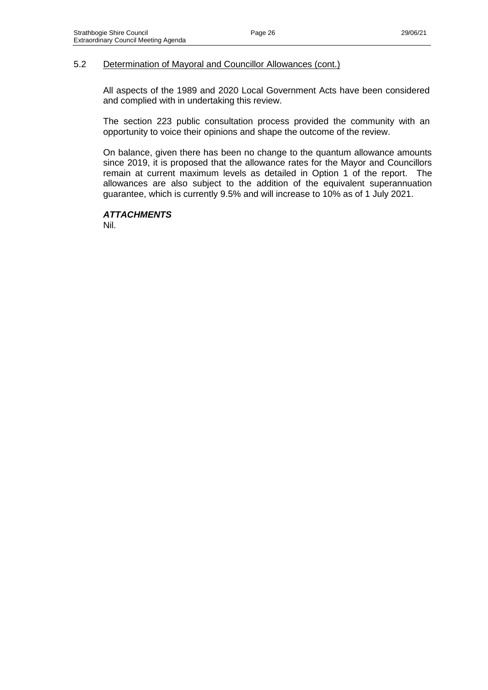All aspects of the 1989 and 2020 Local Government Acts have been considered and complied with in undertaking this review.

The section 223 public consultation process provided the community with an opportunity to voice their opinions and shape the outcome of the review.

On balance, given there has been no change to the quantum allowance amounts since 2019, it is proposed that the allowance rates for the Mayor and Councillors remain at current maximum levels as detailed in Option 1 of the report. The allowances are also subject to the addition of the equivalent superannuation guarantee, which is currently 9.5% and will increase to 10% as of 1 July 2021.

## *ATTACHMENTS*

Nil.